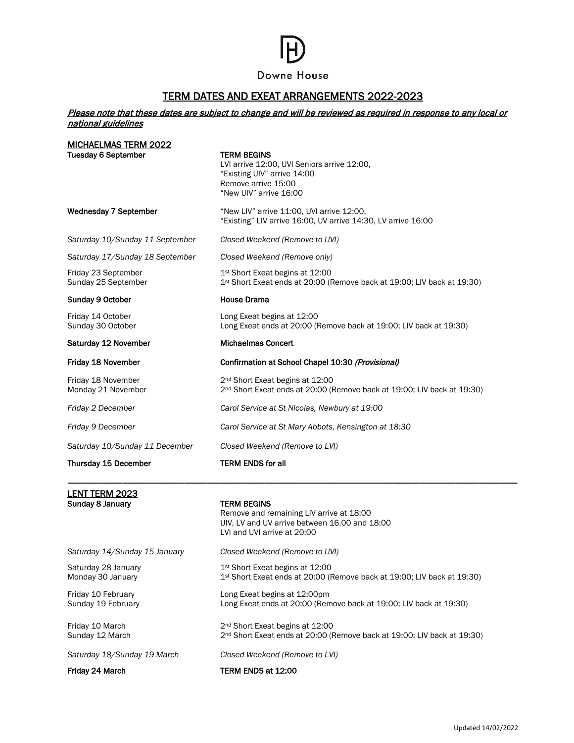## Downe House

### TERM DATES AND EXEAT ARRANGEMENTS 2022-2023

#### Please note that these dates are subject to change and will be reviewed as required in response to any local or national guidelines

| Saturday 10/Sunday 11 December<br>Thursday 15 December | Closed Weekend (Remove to LVI)<br><b>TERM ENDS for all</b>                                                                                        |
|--------------------------------------------------------|---------------------------------------------------------------------------------------------------------------------------------------------------|
| Friday 9 December                                      | Carol Service at St Mary Abbots, Kensington at 18:30                                                                                              |
| Friday 2 December                                      | Carol Service at St Nicolas, Newbury at 19:00                                                                                                     |
| Friday 18 November<br>Monday 21 November               | 2 <sup>nd</sup> Short Exeat begins at 12:00<br>2 <sup>nd</sup> Short Exeat ends at 20:00 (Remove back at 19:00; LIV back at 19:30)                |
| Friday 18 November                                     | Confirmation at School Chapel 10:30 (Provisional)                                                                                                 |
| Saturday 12 November                                   | <b>Michaelmas Concert</b>                                                                                                                         |
| Friday 14 October<br>Sunday 30 October                 | Long Exeat begins at 12:00<br>Long Exeat ends at 20:00 (Remove back at 19:00; LIV back at 19:30)                                                  |
| Sunday 9 October                                       | <b>House Drama</b>                                                                                                                                |
| Friday 23 September<br>Sunday 25 September             | 1 <sup>st</sup> Short Exeat begins at 12:00<br>1 <sup>st</sup> Short Exeat ends at 20:00 (Remove back at 19:00; LIV back at 19:30)                |
| Saturday 17/Sunday 18 September                        | Closed Weekend (Remove only)                                                                                                                      |
| Saturday 10/Sunday 11 September                        | Closed Weekend (Remove to UVI)                                                                                                                    |
| <b>Wednesday 7 September</b>                           | "New LIV" arrive 11:00, UVI arrive 12:00,<br>"Existing" LIV arrive 16:00, UV arrive 14:30, LV arrive 16:00                                        |
| <b>Tuesday 6 September</b>                             | <b>TERM BEGINS</b><br>LVI arrive 12:00, UVI Seniors arrive 12:00,<br>"Existing UIV" arrive 14:00<br>Remove arrive 15:00<br>"New UIV" arrive 16:00 |

*Saturday 14/Sunday 15 January Closed Weekend (Remove to UVI)*Saturday 28 January 1st Short Exeat begins at 12:00<br>Monday 30 January 1st Short Exeat ends at 20:00 (F 1st Short Exeat ends at 20:00 (Remove back at 19:00; LIV back at 19:30) Friday 10 February **Long Exeat begins at 12:00pm**<br>
Sunday 19 February **Long Exeat ends at 20:00 (Rem** Long Exeat ends at 20:00 (Remove back at 19:00; LIV back at 19:30) Friday 10 March 2nd Short Exeat begins at 12:00<br>
2nd Short Exeat ends at 20:00 (F 2<sup>nd</sup> Short Exeat ends at 20:00 (Remove back at 19:00; LIV back at 19:30) *Saturday 18/Sunday 19 March Closed Weekend (Remove to LVI)* Friday 24 March TERM ENDS at 12:00

LVI and UVI arrive at 20:00